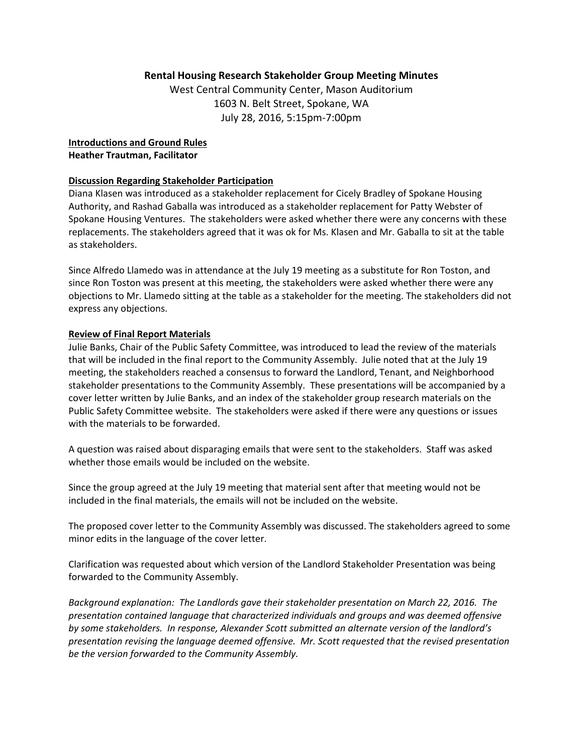## **Rental Housing Research Stakeholder Group Meeting Minutes**

West Central Community Center, Mason Auditorium 1603 N. Belt Street, Spokane, WA July 28, 2016, 5:15pm‐7:00pm

**Introductions and Ground Rules Heather Trautman, Facilitator**

## **Discussion Regarding Stakeholder Participation**

Diana Klasen was introduced as a stakeholder replacement for Cicely Bradley of Spokane Housing Authority, and Rashad Gaballa was introduced as a stakeholder replacement for Patty Webster of Spokane Housing Ventures. The stakeholders were asked whether there were any concerns with these replacements. The stakeholders agreed that it was ok for Ms. Klasen and Mr. Gaballa to sit at the table as stakeholders.

Since Alfredo Llamedo was in attendance at the July 19 meeting as a substitute for Ron Toston, and since Ron Toston was present at this meeting, the stakeholders were asked whether there were any objections to Mr. Llamedo sitting at the table as a stakeholder for the meeting. The stakeholders did not express any objections.

## **Review of Final Report Materials**

Julie Banks, Chair of the Public Safety Committee, was introduced to lead the review of the materials that will be included in the final report to the Community Assembly. Julie noted that at the July 19 meeting, the stakeholders reached a consensus to forward the Landlord, Tenant, and Neighborhood stakeholder presentations to the Community Assembly. These presentations will be accompanied by a cover letter written by Julie Banks, and an index of the stakeholder group research materials on the Public Safety Committee website. The stakeholders were asked if there were any questions or issues with the materials to be forwarded.

A question was raised about disparaging emails that were sent to the stakeholders. Staff was asked whether those emails would be included on the website.

Since the group agreed at the July 19 meeting that material sent after that meeting would not be included in the final materials, the emails will not be included on the website.

The proposed cover letter to the Community Assembly was discussed. The stakeholders agreed to some minor edits in the language of the cover letter.

Clarification was requested about which version of the Landlord Stakeholder Presentation was being forwarded to the Community Assembly.

*Background explanation: The Landlords gave their stakeholder presentation on March 22, 2016. The presentation contained language that characterized individuals and groups and was deemed offensive by some stakeholders. In response, Alexander Scott submitted an alternate version of the landlord's presentation revising the language deemed offensive. Mr. Scott requested that the revised presentation be the version forwarded to the Community Assembly.*